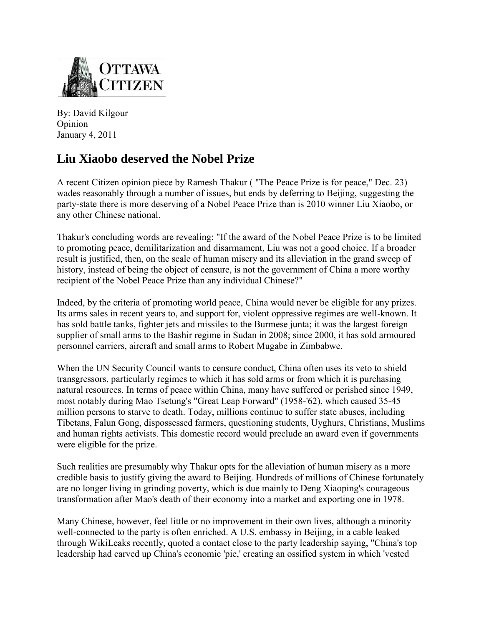

By: David Kilgour Opinion January 4, 2011

## **Liu Xiaobo deserved the Nobel Prize**

A recent Citizen opinion piece by Ramesh Thakur ( "The Peace Prize is for peace," Dec. 23) wades reasonably through a number of issues, but ends by deferring to Beijing, suggesting the party-state there is more deserving of a Nobel Peace Prize than is 2010 winner Liu Xiaobo, or any other Chinese national.

Thakur's concluding words are revealing: "If the award of the Nobel Peace Prize is to be limited to promoting peace, demilitarization and disarmament, Liu was not a good choice. If a broader result is justified, then, on the scale of human misery and its alleviation in the grand sweep of history, instead of being the object of censure, is not the government of China a more worthy recipient of the Nobel Peace Prize than any individual Chinese?"

Indeed, by the criteria of promoting world peace, China would never be eligible for any prizes. Its arms sales in recent years to, and support for, violent oppressive regimes are well-known. It has sold battle tanks, fighter jets and missiles to the Burmese junta; it was the largest foreign supplier of small arms to the Bashir regime in Sudan in 2008; since 2000, it has sold armoured personnel carriers, aircraft and small arms to Robert Mugabe in Zimbabwe.

When the UN Security Council wants to censure conduct, China often uses its veto to shield transgressors, particularly regimes to which it has sold arms or from which it is purchasing natural resources. In terms of peace within China, many have suffered or perished since 1949, most notably during Mao Tsetung's "Great Leap Forward" (1958-'62), which caused 35-45 million persons to starve to death. Today, millions continue to suffer state abuses, including Tibetans, Falun Gong, dispossessed farmers, questioning students, Uyghurs, Christians, Muslims and human rights activists. This domestic record would preclude an award even if governments were eligible for the prize.

Such realities are presumably why Thakur opts for the alleviation of human misery as a more credible basis to justify giving the award to Beijing. Hundreds of millions of Chinese fortunately are no longer living in grinding poverty, which is due mainly to Deng Xiaoping's courageous transformation after Mao's death of their economy into a market and exporting one in 1978.

Many Chinese, however, feel little or no improvement in their own lives, although a minority well-connected to the party is often enriched. A U.S. embassy in Beijing, in a cable leaked through WikiLeaks recently, quoted a contact close to the party leadership saying, "China's top leadership had carved up China's economic 'pie,' creating an ossified system in which 'vested